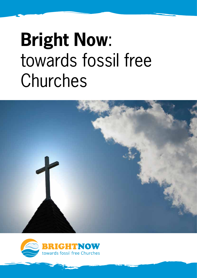# **Bright Now**: towards fossil free Churches



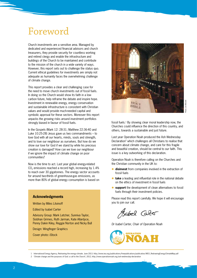### Foreword

Church investments are a sensitive area. Managed by dedicated and experienced financial advisors and church treasurers, they provide security for countless working and retired clergy and enable the infrastructure and buildings of the Church to be maintained and contribute to the mission of the church in a wide variety of ways. However, this report sets out to challenge the status quo. Current ethical guidelines for investments are simply not adequate as humanity faces the overwhelming challenge of climate change.

This report provides a clear and challenging case for the need to move church investments out of fossil fuels. In doing so the Church would show its faith in a lowcarbon future, help reframe the debate and inspire hope. Investment in renewable energy, energy conservation and sustainable infrastructure is consistent with Christian values and would provide much-needed capital and symbolic approval for these sectors. Moreover this report unpacks the growing risks around investment portfolios strongly biased in favour of fossil fuels.

In the Gospels (Mark 12: 28-31; Matthew 22:36-40 and Luke 10:25-28) Jesus gave us two commandments – to love God with all our hearts, minds, souls and strength, and to love our neighbour as ourselves. But how do we show our love for God if we stand by while his precious creation is damaged? How can we love our neighbour if we ignore the impact of climate change on poor communities?

Now is the time to act. Last year global energy-related  $CO<sub>2</sub>$  emissions reached a record high, increasing by  $1.4\%$ to reach over 30 gigatonnes. The energy sector accounts for around two-thirds of greenhouse-gas emissions, as more than 80% of global energy consumption is based on

### **Acknowledgments**

Written by Miles Litvinoff

Edited by Isabel Carter

Advisory Group: Mark Letcher, Sunniva Taylor, Siobhan Grimes, Ruth Jarman, Kate Allardyce, Penny Dakin Kiley, Reggie Norton and Nicky Bull

Design: Wingfinger Graphics

Cover photo: iStock



fossil fuels.<sup>1</sup> By showing clear moral leadership now, the Churches could influence the direction of this country, and others, towards a sustainable and just future.

Last year Operation Noah produced the Ash Wednesday Declaration<sup>2</sup> which challenges all Christians to realise that concern about climate change, and care for this fragile and beautiful creation, should be central to our faith. This issue is a key outworking of this declaration.

Operation Noah is therefore calling on the Churches and the Christian community in the UK to:

- **c** disinvest from companies involved in the extraction of fossil fuels
- **take** a leading and influential role in the national debate on the ethics of investment in fossil fuels
- **e** support the development of clean alternatives to fossil fuels through their investment policies.

Please read this report carefully. We hope it will encourage you to join our call.

Sabel Caber

*Dr Isabel Carter, Chair of Operation Noah*



1 International Energy Agency, Redrawing the energy-climate. June 2013. http://www.iea.org/publications/freepublications/publication/WEO\_RedrawingEnergyClimateMap.pdf

2 'Climate change and the purposes of God: a call to the Church', 2012, http://www.operationnoah.org/ash-wednesday-declaration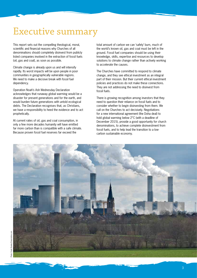# Executive summary

This report sets out the compelling theological, moral, scientific and financial reasons why Churches of all denominations should completely disinvest from publicly listed companies involved in the extraction of fossil fuels (oil, gas and coal), as soon as possible.

Climate change is already upon us and will intensify rapidly. Its worst impacts will be upon people in poor communities in geographically vulnerable regions. We need to make a decisive break with fossil fuel dependency.

Operation Noah's Ash Wednesday Declaration acknowledges that runaway global warming would be a disaster for present generations and for the earth, and would burden future generations with untold ecological debts. The Declaration recognises that, as Christians, we have a responsibility to heed the evidence and to act prophetically.

At current rates of oil, gas and coal consumption, in only a few more decades humanity will have emitted far more carbon than is compatible with a safe climate. Because proven fossil fuel reserves far exceed the

total amount of carbon we can 'safely' burn, much of the world's known oil, gas and coal must be left in the ground. Fossil fuel companies should be using their knowledge, skills, expertise and resources to develop solutions to climate change rather than actively working to accelerate the causes.

The Churches have committed to respond to climate change, and they see ethical investment as an integral part of their mission. But their current ethical investment policies and practices do not make these connections. They are not addressing the need to disinvest from fossil fuels.

There is growing recognition among investors that they need to question their reliance on fossil fuels and to consider whether to begin disinvesting from them. We call on the Churches to act decisively. Negotiations for a new international agreement (the Doha deal) to hold global warming below 2°C (with a deadline of December 2015), provide a good opportunity for church denominations, to achieve complete disinvestment from fossil fuels, and to help lead the transition to a lowcarbon sustainable economy.

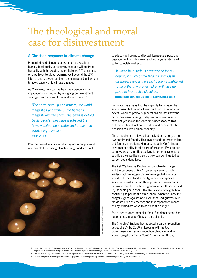# The theological and moral case for disinvestment

### **A Christian response to climate change**

Human-induced climate change, mainly a result of burning fossil fuels, is occurring fast and will confront humanity with its greatest ever challenge.3 The earth is on a pathway to global warming well beyond the 2°C internationally agreed as the maximum possible if we are to avoid cataclysmic climate change.

As Christians, how can we hear the science and its implications and not act by realigning our investment strategies with a vision for a sustainable future?

*'The earth dries up and withers, the world languishes and withers, the heavens languish with the earth. The earth is defiled by its people; they have disobeyed the laws, violated the statutes and broken the everlasting covenant.'*  **Isaiah 24:4-5**

Poor communities in vulnerable regions – people least responsible for causing climate change and least able



to adapt – will be most affected. Large-scale population displacement is highly likely, and future generations will suffer cumulative effects.

*'It would be a serious catastrophe for my country if much of the land in Bangladesh disappears under the sea. I become frightened to think that my grandchildren will have no place to live on this planet earth.'*

**Rt Revd Michael S Baroi, Bishop of Kushtia, Bangladesh**

Humanity has always had the capacity to damage the environment, but we now have this to an unprecedented extent. Whereas previous generations did not know the harm they were causing, today we do. Governments have not yet shown the leadership necessary to limit and reduce fossil fuel consumption and accelerate the transition to a low-carbon economy.

Christ teaches us to love all our neighbours, not just our own family and friends. This love extends to grandchildren and future generations. Humans, made in God's image, have responsibility for the care of creation. If we do not act now, we are, in effect, asking future generations to sacrifice their well-being so that we can continue to live carbon-dependent lives.

The Ash Wednesday Declaration on 'Climate change and the purposes of God', signed by senior church leaders, acknowledges that runaway global warming would undermine food security, accelerate species extinctions, make human life impossible in many parts of the world, and burden future generations with severe and unjust ecological debts.4 The Declaration highlights how continuing to pollute the atmosphere, when we know the dangers, goes against God's will; that God grieves over the destruction of creation; and that repentance means finding immediate ways to address the danger.

For our generation, reducing fossil fuel dependence has become essential to Christian discipleship.

The Church of England has adopted a carbon reduction target of 80% by 2050 (in keeping with the UK Government's emissions reduction objective) and an interim target of 42% by 2020.<sup>5</sup> The Baptist Union.

3 United Nations Radio, 'Climate change is a "clear and present danger" to humankind says UN chief' (UN Secretary-General Ban Ki-moon), 2013, http://www.unmultimedia.org/radio/ english/2013/04/climate-change-is-a-clear-and-present-danger-to-humankind-says-un-chief [all websites accessed August 2013].

- 4 The Ash Wednesday Declaration, 'Climate change and the purposes of God: a call to the Church', 2012, http://www.operationnoah.org/ash-wednesday-declaration
	-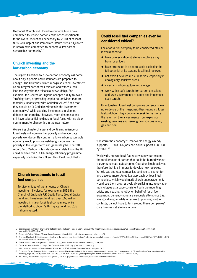Methodist Church and United Reformed Church have committed to reduce carbon emissions 'proportionate to the overall reductions necessary by 2050 of at least 80%' with 'urgent and immediate interim steps'.<sup>6</sup> Quakers in Britain have committed to become a 'low-carbon, sustainable community'.<sup>7</sup>

### **Church investing and the low-carbon economy**

The urgent transition to a low-carbon economy will come about only if people and institutions are prepared to change. The Churches, which recognise ethical investment as an integral part of their mission and witness, can lead the way with their financial stewardship. For example, the Church of England accepts a duty to avoid 'profiting from, or providing capital to, activities that are materially inconsistent with Christian values',<sup>8</sup> and that they should be 'a Christian witness in the investment community'.9 While avoiding investments in alcohol, defence and gambling, however, most denominations still have substantial holdings in fossil fuels, with no clear commitment to change this in the near future.

Worsening climate change and continuing reliance on fossil fuels will increase fuel poverty and exacerbate poverty worldwide. By contrast, a low-carbon sustainable economy would prioritise well-being, decrease fuel poverty in the longer term and generate jobs. The 2013 report Zero Carbon Britain describes in detail how the UK could achieve this.10 A UK energy efficiency programme, especially one linked to a Green New Deal, would help

### **Church investments in fossil fuel companies**

To give an idea of the amounts of Church investment involved, for example in 2012 the Church of England's UK Equity Fund, Global Equity Fund and Investment fund had over £60 million invested in major fossil fuel companies, while the Methodist Church's UK Equity Fund had £58 million invested.<sup>11</sup>

### **Could fossil fuel companies ever be considered ethical?**

For a fossil fuel company to be considered ethical, it would need to:

- $\bullet$  have diversification strategies in place away from fossil fuels
- $\bullet$  have strategies in place to avoid exploiting the full potential of its existing fossil fuel reserves
- $\bullet$  not exploit new fossil fuel reserves, especially in ecologically sensitive areas
- $\bullet$  invest in carbon capture and storage
- $\bullet$  work within safe targets for carbon emissions and urge governments to adopt and implement such targets.

Unfortunately, fossil fuel companies currently show no evidence of their responsibilities regarding fossil fuel pollution. They continue to seek to maximize the return on their investments from exploiting existing reserves and seeking new sources of oil, gas and coal.

transform the economy.12 Renewable energy already supports 110,000 UK jobs and could support 400,000 by 2020.13

Worldwide, known fossil fuel reserves now far exceed the total amount of carbon that could be burned without triggering climate catastrophe. Operation Noah believes therefore that it is immoral to develop new reserves. Yet oil, gas and coal companies continue to search for and develop more. An ethical approach by fossil fuel companies, which would merit church encouragement, would see them progressively diversifying into renewable technologies at a pace consistent with the mounting crisis, and ceasing to lobby on behalf of fossil fuel expansion. Currently none are seriously attempting this. Investor dialogue, while often worth pursuing in other contexts, cannot hope to turn around these companies' core business strategies in time.

13 BBC News, 'Renewables "help jobs and growth"', 2012, http://www.bbc.co.uk/news/science-environment-17812299

<sup>6</sup> Baptist Union, Methodist Church and United Reformed Church, Hope in God's Future, 2009, http://www.jointpublicissues.org.uk/wp-content/uploads/2013/01/higfstudyguide-100909.pdf, p.30.

<sup>7</sup> Quakers in Britain, 'Minute 36: our Canterbury commitment', 2011, http://www.quaker.org.uk/minute-36

<sup>8</sup> Church of England, 'Ethical investment policy of the national church institutions', http://www.churchofengland.org/media/55096/Ethical%20Investment%20Policy%20of%20the%20 National%20Church%20Institutions.pdf

<sup>9</sup> Epworth Investment Management, , 'Mission', http://www.epworthinvestment.co.uk/about/index.php

<sup>10</sup> Centre for Alternative Technology, *Zero Carbon Britain*, 2013, http://zerocarbonbritain.org/

<sup>11</sup> Information from *Church Commissioners Annual Report 2012* and *CFB Funds Performance Report 2012*

<sup>12</sup> Consumer Focus, ['Energy efficiency investment is one of best ways to boost the economy – new research reveals'](http://www.consumerfocus.org.uk/news/energy-efficiency-investment-is-one-of-best-ways-to-boost-the-economy-new-research-reveals), 2012; *Independent*, ['A "Green New Deal" can save the world's](http://www.independent.co.uk/environment/green-living/a-green-new-deal-can-save-the-worlds-economy-says-un-958696.html)  [economy, says UN'](http://www.independent.co.uk/environment/green-living/a-green-new-deal-can-save-the-worlds-economy-says-un-958696.html), 2008; Green New Deal Group, ['Cuts won't work, but green spending will reduce public debt, create jobs, cut carbon'](http://www.greennewdealgroup.org/?p=161), 2009,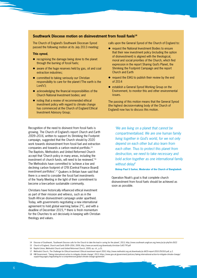### **Southwark Diocese motion on disinvestment from fossil fuels14**

The Church of England's Southwark Diocesan Synod passed the following motion at its July 2013 meeting:

#### **This synod**,

- $\bullet$  recognising the damage being done to the planet through the burning of fossil fuels;
- $\bullet$  aware of the huge reserves held by gas, oil and coal extraction industries;
- $\bullet$  committed to taking seriously our Christian responsibility to care for the planet ('The earth is the Lord's');
- $\bullet$  acknowledging the financial responsibilities of the Church National Investment bodies; and
- $\bullet$  noting that a review of recommended ethical investment policy with regard to climate change has commenced at the Church of England Ethical Investment Advisory Group;

calls upon the General Synod of the Church of England to:

- request the National Investment Bodies to ensure that their new investment policy (including the option of disinvestment) is aligned with the theological, moral and social priorities of the Church, which find expression in the report Sharing God's Planet, the Shrinking the Footprint Campaign and the report Church and Earth
- $\bullet$  request the EIAG to publish their review by the end of 2014
- **•** establish a General Synod Working Group on the Environment, to monitor this and other environmental issues.

The passing of this motion means that the General Synod (the highest decision-making body of the Church of England) now has to discuss this motion.

Recognition of the need to disinvest from fossil fuels is growing. The Church of England's report *Church and Earth 2009–2016*, written to support its Shrinking the Footprint campaign, suggested that the Church should by 2020 work towards disinvestment from fossil fuel and extraction companies and towards a carbon neutral portfolio.15 The Baptists, Methodists and United Reformed Church accept that 'Church policy in many areas, including the investment of church funds, will need to be reviewed.'16 The Methodists have committed to 'achieve a low and declining carbon footprint of CFB [Central Finance Board] investment portfolios'.17 Quakers in Britain have said that there is a need to consider the fossil fuel investments of the Yearly Meeting in the light of their commitment to become a low-carbon sustainable community.

Christians have historically influenced ethical investment as part of their mission and witness, such as in the South African disinvestment campaign under apartheid. Today, with governments negotiating a new international agreement to hold global warming below 2°C, and with a deadline of December 2015,18 there is fresh momentum for the Churches to act decisively in keeping with Christian theology and values.

*'We are living on a planet that cannot be compartmentalised. We are one human family living together in God's world, for we not only depend on each other but also learn from each other. Thus to protect this planet from destruction, we need to take necessary and bold action together as one international family without delay!'*

**Bishop Paul S Sarker, Moderator of the Church of Bangladesh** 

Operation Noah's goal is that complete church disinvestment from fossil fuels should be achieved as soon as possible.

<sup>14</sup> Diocese of Southwark, 'Southwark Diocese calls for the Church to take the lead in caring for the planet', 2013, http://www.southwark.anglican.org/news/pr/pr.php?id=2622

<sup>15</sup> Church of England, *Church and Earth 2009–2016*, 2009, http://www.arcworld.org/downloads/christian-CofE-7YP.pdf

<sup>16</sup> Baptist Union, Methodist Church and United Reformed Church, 2009, op. cit., p.31.

<sup>17</sup> Methodist Church, *The Challenge for Ethical Investment: Ethical investment report 2010*, http://www.methodist.org.uk/downloads/pi-JACEI-report-2010-250310.pdf, p.2.

<sup>18</sup> HM Government, 'Taking international action to mitigate climate change', 2013, https://www.gov.uk/government/policies/taking-international-action-to-mitigate-climate-change/ supporting-pages/negotiating-for-a-comprehensive-global-climate-change-agreement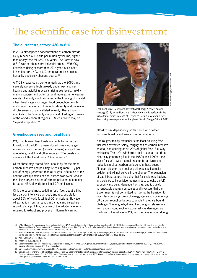### The scientific case for disinvestment

### **The current trajectory: 4°C to 6°C**

In 2013 atmospheric concentrations of carbon dioxide  $(CO<sub>2</sub>)$  reached 400 parts per million by volume, higher than at any time for 650,000 years. The Earth is now 0.8 $^{\circ}$ C warmer than in pre-industrial times.<sup>19</sup> With CO<sub>2</sub> emissions rising at more than 2% a year, our planet is heading for a 4°C to 6°C temperature rise unless humanity decisively changes course.<sup>20</sup>

A 4°C increase could come as early as the 2060s and severely worsen effects already under way, such as heating and acidifying oceans, rising sea levels, rapidly melting glaciers and polar ice, and more extreme weather events. Humanity would experience the flooding of coastal cities, freshwater shortages, food production deficits, malnutrition, epidemics, loss of biodiversity and population displacements of unparalleled severity. These impacts are likely to be 'inherently unequal and tilted against many of the world's poorest regions'.21 Such a world may be 'beyond adaptation'.22

### **Greenhouse gases and fossil fuels**

 $CO<sub>2</sub>$  from burning fossil fuels accounts for more than four-fifths of the UK's human-induced greenhouse gas emissions, with the rest (largely methane) arising from agriculture, landfill and other sources.<sup>23</sup> Deforestation causes a fifth of worldwide  $CO<sub>2</sub>$  emissions.<sup>24</sup>

Of the three major fossil fuels, coal is by far the most carbon intensive and polluting, releasing more  $CO<sub>2</sub>$  per unit of energy generated than oil or gas.25 Because of this and the vast quantities of coal burned worldwide, coal is the single largest source of climate pollution, accounting for about 43% of world fossil fuel  $CO<sub>2</sub>$  emissions.

Oil is the second most polluting fossil fuel, about a third less carbon intensive than coal, and responsible for about 36% of world fossil fuel  $CO<sub>2</sub>$  emissions. However, oil extraction from tar sands in Canada and elsewhere is particularly polluting because of the additional energy required to extract and process it. Humanity cannot



Fatih Birol, Chief Economist, International Energy Agency, Annual Meeting 2012; 'When I look at this data, the trend is perfectly in line with a temperature increase of 6 degrees Celsius which would have devastating consequences for the planet.' World Energy Outlook 2012

afford to risk dependency on tar sands oil or other unconventional or extreme extraction methods.

Natural gas (mainly methane) is the least polluting fossil fuel when extracted safely, roughly half as carbon intensive as coal, and causing about 20% of global fossil fuel  $CO<sub>2</sub>$ emissions. The UK's switch from coal to gas as its prime electricity generating fuel in the 1980s and 1990s – the 'dash for gas' – was the main reason for a significant reduction in direct carbon emissions in those years. Although cleaner than coal and oil, gas is still a major polluter and will not solve climate change. The expansion of gas infrastructure, including that for shale gas fracking, and policies to incentivise the gas industry, locks the UK economy into being dependent on gas, and it signals to renewable energy companies and investors that the Government is not committed to making the transition to much less polluting forms of energy generation or meeting UK carbon reduction targets to which it is legally bound. Shale gas 'fracking' – hydraulic fracturing to release gas from underground rock – is potentially as damaging as coal due to the additional CO<sub>2</sub> and methane emitted during

- 23 Department of Energy & Climate Change, 'Statistical release', 2013, https://www.gov.uk/government/uploads/system/uploads/attachment\_data/file/193414/280313\_ghg\_ national statistics release 2012 provisional.pdf
- 24 European Commission, 'Climate action', http://ec.europa.eu/clima/policies/forests/deforestation/index\_en.htm
- 25 Data on carbon intensity of different fuels collated from: US Department of Energy; Greenpeace International, ['The case against coal',](http://www.greenpeace.org/international/en/campaigns/climate-change/coal/The-case-against-coal) 2010; *Washington Post*, ['Just how dirty are](http://www.washingtonpost.com/blogs/wonkblog/post/just-how-dirty-are-canadas-oil-sands-anyway/2012/05/23/gJQAGdlkkU_blog.html)  [Canada's oil sands, anyway?'](http://www.washingtonpost.com/blogs/wonkblog/post/just-how-dirty-are-canadas-oil-sands-anyway/2012/05/23/gJQAGdlkkU_blog.html), 2012; BBC News, 'Shale gas ["worse than coal"](http://www.bbc.co.uk/news/science-environment-13053040) for climate', 2011; Friends of the Earth, ['Unconventional, unnecessary and unwanted: why fracking for](http://www.foe.co.uk/resource/briefings/shale_gas.pdf)  [shale gas is a gamble the UK does not need to take'](http://www.foe.co.uk/resource/briefings/shale_gas.pdf), 2013

<sup>19</sup> NASA (National Aeronautics and Space Administration), ['NASA scientists react to 400 ppm carbon milestone'](http://climate.nasa.gov/400ppmquotes/), 2013; IPCC (Intergovernmental Panel on Climate Change), *[Fourth](http://www.ipcc.ch/publications_and_data/ar4/syr/en/contents.html)  [Assessment Report: Synthesis Report, Summary for Policymakers](http://www.ipcc.ch/publications_and_data/ar4/syr/en/contents.html)*, 2007; World Bank, *[Turn Down the Heat: Why a 4 degree warmer world must be avoided](http://climatechange.worldbank.org/sites/default/files/Turn_Down_the_heat_Why_a_4_degree_centrigrade_warmer_world_must_be_avoided.pdf)*, report by the Potsdam Institute for Climate Impact Research and Climate Analytics, 2012,

<sup>20</sup> Max-Planck-Gesellschaft, 'Global carbon dioxide emissions reach new record high', 2012, http://www.mpg.de/6678112/carbon-dioxide-climate-change; K. Anderson, ['Real clothes](http://www.bristol.ac.uk/cabot/documents/anderson-transcript.pdf)  [for the emperor: facing the challenges of climate change',](http://www.bristol.ac.uk/cabot/documents/anderson-transcript.pdf) presentation at University of Bristol, 2012; World Bank, 2012, op. cit.

<sup>21</sup> World Bank, 2012, op. cit., p.xiii.

<sup>22</sup> Anderson, 2012, op. cit., p.14.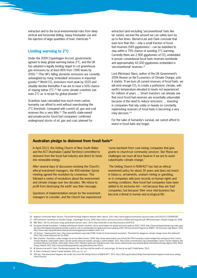extraction and to the local environmental risks from deep vertical and horizontal drilling, heavy freshwater use and the injection of large quantities of toxic chemicals.<sup>26</sup>

### **Limiting warming to 2°C**

Under the 2009 Copenhagen Accord, governments agreed to keep global warming below 2°C, and the UK has adopted a legally binding target to cut greenhouse gas emissions by at least 80% from 1990 levels by 2050.27 (The UK's falling domestic emissions are currently outweighed by rising 'embodied' emissions in imported goods).<sup>28</sup> World  $CO<sub>2</sub>$  emissions must peak by 2020 and steadily decline thereafter if we are to have a 50% chance of staying below 2°C.29 Yet some climate scientists see even 2°C as 'a recipe for global disaster'.30

Scientists have calculated how much more carbon humanity can afford to emit without overshooting the 2°C threshold. Compared with current oil, gas and coal reserves this is very little.<sup>31</sup> The world's state-owned and private-sector fossil fuel companies' confirmed underground stocks of oil, gas and coal, planned for

extraction (and excluding 'unconventional' fuels like tar sands), exceed the amount we can safely burn by up to five times. Berners-Lee and Clark conclude that even less than this – only a small fraction of fossil fuel reserves (565 gigatonnes) – can be exploited to stay within a 75% chance of avoiding 2°C warming. Currently there are 2,900 gigatonnes of  $CO<sub>2</sub>$  embedded in proven conventional fossil fuels reserves worldwide and approximately 42,000 gigatonnes embedded in 'unconventional' reserves.32

Lord (Nicholas) Stern, author of the UK Government's 2006 Review on the Economics of Climate Change, puts it starkly: 'If we burn all current reserves of fossil fuels, we will emit enough  $CO<sub>2</sub>$  to create a prehistoric climate, with earth's temperature elevated to levels not experienced for millions of years … Smart investors can already see that most fossil fuel reserves are essentially unburnable because of the need to reduce emissions … Investing in companies that rely solely or heavily on constantly replenishing reserves of fossil fuels is becoming a very risky decision.'33

For the sake of humanity's survival, we cannot afford to invest in fossil fuels any longer.

#### Australian pledge to disinvest from fossil fuels<sup>34</sup>

In April 2013, the Uniting Church of New South Wales and the ACT (Australian Capital Territory) committed to disinvest from the fossil fuel industry and direct its funds into renewable energy.

After several days of discussion involving the Church's ethical investment managers, the 400-member Synod meeting agreed the resolution by consensus. This followed a series of resolutions about the environment and climate change over two decades. 'We refuse to profit from destroying the earth' was their message.

Questions of implementation remain for the investment managers to consider, and the Church has experienced 'some backlash from coal mining companies that give grants to church-run community services'. But 'these are challenges we must all face head-on if we are to avoid catastrophic climate change.'

 The Uniting Church in NSW-ACT has had an ethical investment policy for about 30 years and does not invest in tobacco, armaments, uranium mining or gambling, or in companies with poor records on human rights and working conditions. Now fossil fuel companies have been added to its exclusion list – not because they are 'bad' companies, but because 'their once vital business has become a threat to human and ecological life'.

<sup>26</sup> Anglican Communion News Service, 'Faced with fracking? Anglican network offers advice', 2013, http://www.anglicancommunion.org/acns/news.cfm/2013/5/17/ACNS5392

<sup>27</sup> UN Framework Convention on Climate Change, Copenhagen Accord, 2009, http://unfccc.int/resource/docs/2009/cop15/eng/l07.pdf; HM Government, Climate Change Act 2008.

<sup>28</sup> BBC News, 'UK CO2 emissions rising, government advisers warn', 2013, http://www.bbc.co.uk/news/business-22267231

<sup>/</sup>European Climate Foundation, 'Leading international climate scientists call on world leaders for global emissions peak by 2020', 2009, http://www.europeanclimate.org/index.php<br>de/news/60-leading-international-climate-scie http://www.unep.org/publications/ebooks/emissionsgapreport/chapter2.asp?c=2.4

<sup>30</sup> J.E Hansen, 'Tipping points near', http://www.worldwatch.org/node/5798; Center for Environmental Journalism, 'Threshold for dangerous climate change closer than believed?', 2010, http://www.cejournal.net/?p=4054

New Scientist, 'Humanity's carbon budget set at one trillion tonnes', 2009, http://www.newscientist.com/article/dn17051-humanitys-carbon-budget-fast-running-out.html; Carbon<br>Tracker Initiative, Unburnable Carbon: Are the w Grantham Research Institute, *Unburnable Carbon 2013: Wasted capital and stranded assets*, http://www.carbontracker.org/wastedcapital; International Energy Agency (IEA), *World Energy Outlook 2012*, http://www.worldenergyoutlook.org/publications/weo-2012/

<sup>32</sup> M. Berners-Lee and D. Clark, *The Burning Question: We can't burn half the world's oil, coal and gas. So how do we quit?*, Profile Books, 2013.

<sup>33</sup> N. Stern, Foreword, Carbon Tracker Initiative, 2013, op. cit., p.7.

<sup>34</sup> 350.org, 'How divestment happens: the inside story from the Uniting Church of NSW & ACT', 2013, http://350.org/en/about/blogs/how-divestment-happens-inside-story-unitingchurch-nsw-act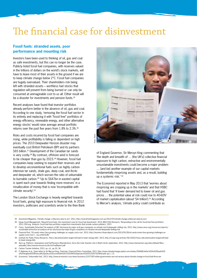### The financial case for disinvestment

### **Fossil fuels: stranded assets, poor performance and mounting risk**

Investors have been used to thinking of oil, gas and coal as safe investments, but this can no longer be the case. Publicly listed fossil fuel companies, with reserves valued in the trillions of dollars on the world's stock markets, will have to leave most of their assets in the ground if we are to keep climate change below 2°C. Fossil fuel companies are hugely overvalued. Their shareholders risk being left with stranded assets – worthless fuel stocks that regulation will prevent from being burned or can only be consumed at unimaginable cost to us all. Either result will be a disaster for investments and pension funds.<sup>35</sup>

Recent analyses have found that investor portfolios already perform better in the absence of oil, gas and coal. According to one study, 'removing the fossil fuel sector in its entirety and replacing it with "fossil free" portfolios of energy efficiency, renewable energy, and other alternative energy stocks' would raise average annual portfolio returns over the past five years from 1.8% to 2.3%.36

Risks and costs incurred by fossil fuel companies are rising, while profitability is falling or dependent on high prices. The 2010 Deepwater Horizon disaster may eventually cost British Petroleum (BP) and its partners \$65 billion.37 Development of the Canadian tar sands is very costly.38 By contrast, offshore wind is forecast to be cheaper than gas by 2023.<sup>39</sup> However, fossil fuel companies keep seeking to expand their reserves and to develop unconventional fuels such as highly carbonintensive tar sands, shale gas, deep coal, and Arctic and deepwater oil, which worsen the ratio of unburnable to burnable carbon.<sup>40</sup> 'Up to \$647bn in wasted capital is spent each year towards finding more reserves' in a misallocation of money that is now 'incompatible with climate security'.41 Economist reported to Mercules the conomist of the conomist and constrained by contract the conomistic map<br>
ince as The 2010 Dependent of the Canadian tar same stars of England Governor, Sir Mervyn King commenting the<br>
sep

The London Stock Exchange is heavily weighted towards fossil fuels, giving high exposure to financial risk. In 2012 investors, politicians and scientists wrote to the then Bank



of England Governor, Sir Mervyn King commenting that 'the depth and breadth of … [the UK's] collective financial exposure to high carbon, extractive and environmentally unsustainable investments could become a major problem ... [and be] another example of our capital markets fundamentally mispricing assets and, as a result, building up a systemic risk.' 42

The Economist reported in May 2013 that 'worries about mispricing are cropping up in the markets' and that HSBC had found that 'if lower demand led to lower oil and gas prices … the potential value at risk could rise to 40-60%' of market capitalisation (about 'S4 trillion').<sup>43</sup> According to Mercer's analysis, 'climate policy could contribute as

- 35 *Investment Magazine*, 'Climate change: a fiduciary duty to act', 2013, http://investmentmagazine.com.au/2013/07/climate-change-a-fiduciary-duty-to-act/
- 36 Impax Asset Management, ['Beyond fossil fuels: the investment case for fossil fuel divestment',](http://www.impaxam.com/media/178162/20130704_impax_white_paper_fossil_fuel_divestment_uk_final.pdf, p.5) 2013; MSCI ESG Research, ['Responding to the call for fossil-fuel free portfolios'](http://www.msci.com/resources/factsheets/MSCI%20ESG%20Research_FAQ%20on%20Fossil-Free%20Investing_June%202013.pdf), 2013; 350.org, ['Analysts: fossil fuel-free portfolios outperform investments that include carbon polluters'](http://gofossilfree.org/analysts-fossil-fuel-free-portfolios-outperform-investments-that-include-carbon-polluters/), 2013

37 Ceres, *Sustainable Extraction? An analysis of SEC disclosure by major oil & gas companies on climate risk & deepwater drilling risk*, 2012, http://www.ceres.org/resources/reports/ sustainable-extraction-an-analysis-of-sec-disclosure-by-major-oil-gas-companies-on-climate-risk-and-deepwater-drilling-risk

38 *Financial Post*, 'Oil sands mines face growing challenges as supply costs rise', 2013, http://business.financialpost.com/2013/05/28/oil-sands-mines-face-growing-challenges-assupply-costs-rise/? lsa=e4ef-6c80

39 Institute for Public Policy Research, 'How a decarbonisation target will lead to lower energy bills', 2013, http://m.ippr.org/articles/56/10422/how-a-decarbonisation-target-will-leadto-lower-energy-bills

40 See e.g. Platform, Greenpeace and FairPensions (ShareAction), *Out in the Cold: Investor risk in Shell's Arctic exploration*, 2012, http://www.shareaction.org/sites/default/files/ uploaded\_files/investorresources/ArcticFinalReport.pdf

41 Carbon Tracker Initiative, 2013, op. cit., pp.33, 36.

42 P. Abberley et al., Open letter to Sir Mervyn King, Chairman, Financial Policy Committee, 2012, http://www.climatechangecapital.com/media/256968/letter%20to%20bank%20 of%20england%20financial%20policy%20committee%20-%2019th%20january%202012%20-%20final.pdf, pp.1, 1-2.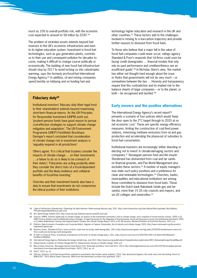much as 10% to overall portfolio risk, with the economic cost expected to amount to \$8 trillion by 2030'.44

The problem of stranded assets extends beyond fuel reserves to the UK's economic infrastructure and even to its higher education system. Investment in fossil fuel technologies, such as gas generation plants, commits us to their use and consequent pollution for decades to come, making it difficult to change course politically or economically. The building of new fossil fuel infrastructure should stop by 2017 to avoid locking us into catastrophic warming, says the formerly pro-fossil-fuel International Energy Agency.45 In addition, oil and mining companies spend lavishly on lobbying and on funding fuel and

### **Fiduciary duty46**

Institutional investors' fiduciary duty (their legal trust to their shareholders) extends beyond maximising short-term financial returns. As the UN Principles for Responsible Investment (UNPRI) point out, 'prudent pension funds have good reason to pursue cost-effective strategies to support climate change mitigation and adaptation'. The UN Environment Programme (UNEP) Freshfields Bruckhaus Deringer's report concluded that consideration of climate change risk in investment analysis is 'arguably required in all jurisdictions'.

Others agree: 'It is critical that trustees consider the impacts of climate change … on their investments … a failure to do so is likely to be a breach of their duties'; 'Fiduciaries are acting prudently when they consider the direct risks of a fossil-dependent portfolio and the likely resilience and collateral benefits of fossil-free investing.'

Churches and their investment boards also have a duty to ensure that investments do not compromise the ethical position of their institutions.

technology higher education and research in the UK and other countries.47 These factors add to the challenges involved in moving to a low-carbon trajectory and provide further reasons to disinvest from fossil fuels.

To those who believe that a major fall in the value of fossil fuel companies could never occur, ratings agency Standard & Poor's responds that 'oil firms could soon be facing credit downgrades … financial models that only rely on past performance and creditworthiness are an insufficient guide'.48 In Nicholas Stern's view, 'the market has either not thought hard enough about the issue or thinks that governments will not do very much – or somewhere between the two … Honesty and transparency require that this contradiction and its implied risk to the balance sheets of large companies – or to the planet, or both – be recognised and tackled.'49

### **Early movers and the positive alternatives**

The International Energy Agency's recent report<sup>50</sup> presents a scenario of four policies which would 'keep the door open to the 2°C target through to 2020 at no net economic cost.' These are specific energy efficiency measures, limiting the construction of coal fired power stations, minimising methane emissions from oil and gas production and accelerating the phase-out of subsidies to fossil fuel consumption.

Institutional investors are increasingly 'either divesting or electing not to invest' in climate-damaging sectors and companies.51 Norwegian pension fund and life insurer Storebrand has disinvested from coal and tar sands on financial grounds, and Pax World Management also excludes these sectors.<sup>52</sup> A number of equity managers now state such policy positions and a preference for clean and renewable technologies.53 Churches, banks, municipalities and educational institutions are among those committed to disinvest from fossil fuels. These include the Dutch bank Rabobank (shale gas and tar sands), more than 15 US city councils and mayors, and six US colleges and universities.<sup>54</sup>

<sup>44</sup> Cited in FairPensions (ShareAction), *Protecting Our Best Interests: Rediscovering fiduciary duty*, 2011, http://www.shareaction.org/sites/default/files/uploaded\_files/fidduty/ FPProtectingOurBestInterests.pdf, p.63.

<sup>45</sup> IEA, *World Energy Outlook 2011*, http://www.iea.org/Textbase/npsum/weo2011sum.pdf

<sup>46</sup> Sources: UNPRI[, 'Investor leadership on climate change: an analysis of the investment community's role on climate change, and a snapshot of recent investor activity',](http://www.unglobalcompact.org/docs/issues_doc/Environment/Investor_Leadership_on_Climate_Change_An_Analysis.pdf) 2009, p.10; UNEP Finance Initiative and Freshfields Bruckhaus Deringer, [A Legal Framework for the Integration of Environmental, Social and Governance Issues into Institutional Investment](http://www.unepfi.org/fileadmin/documents/freshfields_legal_resp_20051123.pdf), 2005,<br>p.13; Baker & Mackenzie, Pension and Sup

<sup>47</sup> Platform, New Economics Foundation and Corporate Watch, *Degrees of Capture: Universities, the oil industry and climate change*, 2003, http://www.carbonweb.org/documents/ DegreesofCapture.pdf

<sup>48</sup> Business Green, 'Standard & Poor's warns oil firms could soon be facing credit downgrades', 2013, http://www.businessgreen.com/bg/news/2251879/standard-poors-warns-oilfirms-could-soon-be-facing-credit-downgrades

<sup>49</sup> N. Stern in *Financial Times*, 'A profound contradiction at the heart of climate change policy', 2011, http://www.ft.com/cms/s/0/52f2709c-20f0-11e1-8a43-00144feabdc0. html#axzz2bByXliy7

<sup>50</sup> International Energy Agency, *Redrawing the energy-climate map*. June 2013. http://www.iea.org/publications/freepublications/publication/WEO\_RedrawingEnergyClimateMap.pdf 51 Global Investor Coalition on Climate Change (GICCC), [Global Investor Survey on Climate Change,](http://globalinvestorcoalition.org/wp-content/uploads/2013/08/2013%20Global%20Investor%20Survey%20Report%20Final.pdf) 2013, p.6.

<sup>52</sup> Blue & Green Tomorrow, 'Norwegian pension fund divests from "financially worthless" fossil fuel firms', 2013, http://blueandgreentomorrow.com/2013/07/05/norwegian-pensionfund-divests-from-financially-worthless-fossil-fuels/; GICCC, 2013, op. cit.

<sup>53</sup> GICCC, 2013, op. cit.

<sup>54</sup> 350.org, 'Analysts: fossil fuel-free portfolios outperform investments that include carbon polluters', 2013, ['How divestment happens: the inside story from the Uniting Church of](http://350.org/en/about/blogs/how-divestment-happens-inside-story-uniting-church-nsw-act%20)  [NSW & ACT',](http://350.org/en/about/blogs/how-divestment-happens-inside-story-uniting-church-nsw-act%20) 2013; Blue & Green Tomorrow, ['What fossil fuel divestment can learn from apartheid',](http://blueandgreentomorrow.com/features/what-fossil-fuel-divestment-can-learn-from-apartheid/) 2013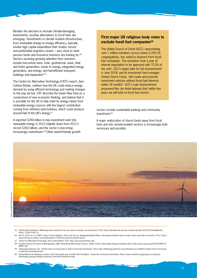Besides the decision to exclude climate-damaging investments, positive alternatives to fossil fuels are emerging. 'Investments in climate resilient infrastructure, from renewable energy to energy efficiency, typically involve high capital expenditure that creates secure and predictable long-term assets – very close to what pension funds and insurance investors are looking for.'55 Sectors receiving growing attention from investors include low-carbon wind, solar, geothermal, wave, tidal and hydro generation, waste to energy, integrated energy generation, and energy- and fuel-efficient transport, buildings and equipment.<sup>56</sup>

The Centre for Alternative Technology (CAT)'s report, Zero Carbon Britain, outlines how the UK could reduce energy demand by using efficient technology and making changes to the way we live. CAT describe the Green New Deal as a cornerstone of new economic thinking, and believe that it is possible for the UK to fully meet its energy needs from renewable energy sources with the largest contribution coming from offshore wind turbines, which could produce around half of the UK's energy.57

A reported \$244 billion in new investment went into renewable energy in 2012 (slightly down from 2011's record \$260 billion), and the sector is becoming increasingly mainstream.58 Other planet-friendly growth

### **First major US religious body votes to exclude fossil fuel companies<sup>59</sup>**

The United Church of Christ (UCC), representing over 1 million members across nearly 5,200 US congregations, has voted to disinvest from fossil fuel companies. The resolution 'took a year of internal negotiation to be approved with 72.5% of the vote'. UCC's target date for full disinvestment is June 2018, and its investment fund manager, United Church Funds, 'will create and promote investment vehicles without fossil fuel interests within 18 months'. UCC's main disinvestment proponent Rev Jim Antal believes that 'within five years we will hold no fossil fuel stocks'.

sectors include sustainable banking and community investment.<sup>60</sup>

A major reallocation of church funds away from fossil fuels and into climate-resilient sectors is increasingly both necessary and possible.



- 55 Climate Bonds Initiative, 'Mobilizing bond markets for the low carbon transition: an 8 point plan', 2012, http://climatebonds.net/wp-content/uploads/2013/02/ClimateBonds\_ Davos\_25Jan12.pdf, p.1.
- 56 GICCC, 2013, op. cit.; WWF, Carbon Tracker Initiative, SinCo and Trucost, *Navigating Muddy Waters: Securing investment returns under carbon and water constraints*, 2012, http:// www.wwf.org.za/media\_room/publications/?7260/securing-investment-return
- 57 Centre for Alternative Technology, *Zero Carbon Britain*, 2013, http://zerocarbonbritain.org/
- 58 Frankfurt School of Finance & Management, UNEP, Bloomberg New Energy Finance, *Global Trends in Renewable Energy Investment 2013*, http://www.unep.org/pdf/GTR-UNEP-FS-BNEF2.pdf
- 59 TheEnergyCollective.com, 'United Church of Christ puts its faith in fossil fuel divestment', 2013, http://theenergycollective.com/silviomarcacci/246011/united-church-christ-putsits-faith-fossil-fuel-divestment
- 60 Global Alliance for Banking on Values, http://www.gabv.org; Charities Aid Foundation, 'Corporate community investment', https://www.cafonline.org/giving-as-a-company/ developing-a-giving-strategy/corporate-community-investment.aspx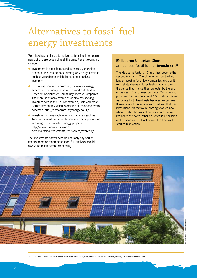# Alternatives to fossil fuel energy investments

'For churches seeking alternatives to fossil fuel companies new options are developing all the time. Recent examples include:'

- $\bullet$  Investment in specific renewable energy generation projects. This can be done directly or via organisations such as Abundance which list schemes seeking investors.
- $\bullet$  Purchasing shares in community renewable energy schemes. Commonly these are formed as Industrial Provident Societies or Community Interest Companies. There are now many examples of projects seeking investors across the UK. For example, Bath and West Community Energy which is developing solar and hydro schemes. http://bathcommunityenergy.co.uk/
- Investment in renewable energy companies such as Triodos Renewables, a public limited company investing in a range of sustainable energy projects. http://www.triodos.co.uk/en/ personalethicalinvestments/renewables/overview/

The investments shown here do not imply any sort of endorsement or recommendation. Full analysis should always be taken before proceeding.

### **Melbourne Unitarian Church announces fossil fuel disinvestment61**

The Melbourne Unitarian Church has become the second Australian Church to announce it will no longer invest in fossil fuel companies and that it will 'sell its shares in fossil fuel companies, and the banks that finance their projects, by the end of the year'. Church member Peter Castaldo who proposed disinvestment said: 'It's … about the risk associated with fossil fuels because we can see there's a lot of issues now with coal and that's an investment risk that we're coming towards now when we start having action on climate change ... I've heard of several other churches in discussion on the issue and … I look forward to hearing them start to take action.'



61 ABC News, 'Unitarian Church divests from fossil fuels', 2013, http://www.abc.net.au/environment/articles/2013/08/01/3816046.htm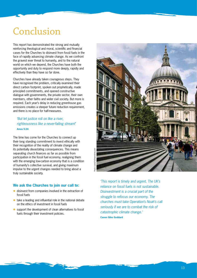## Conclusion

This report has demonstrated the strong and mutually reinforcing theological and moral, scientific and financial cases for the Churches to disinvest from fossil fuels in the face of rapidly advancing climate change. As we confront the gravest ever threat to humanity, and to the natural world on which we depend, the Churches have both the opportunity and duty to respond more deeply, rapidly and effectively than they have so far done.

Churches have already taken courageous steps. They have recognised the problem, critically examined their direct carbon footprint, spoken out prophetically, made principled commitments, and opened constructive dialogue with governments, the private sector, their own members, other faiths and wider civil society. But more is required. Each year's delay in reducing greenhouse gas emissions creates a steeper future reduction requirement, and there is no place for half-measures.

### *'But let justice roll on like a river, righteousness like a never-failing stream!'* **Amos 5:24**

The time has come for the Churches to connect up their long standing commitment to invest ethically with their recognition of the reality of climate change and its potentially devastating consequences. This means separating church finances as far as possible from participation in the fossil fuel economy, realigning them with the emerging low-carbon economy that is a condition of humanity's collective survival, and giving maximum impulse to the urgent changes needed to bring about a truly sustainable society.

### **We ask the Churches to join our call to:**

- $\bullet$  disinvest from companies involved in the extraction of fossil fuels
- $\bullet$  take a leading and influential role in the national debate on the ethics of investment in fossil fuels
- $\bullet$  support the development of clean alternatives to fossil fuels through their investment policies.



*'This report is timely and urgent. The UK's reliance on fossil fuels is not sustainable. Disinvestment is a crucial part of the struggle to refocus our economy. The churches must take Operation's Noah's call seriously if we are to combat the risk of catastrophic climate change.'* **Canon Giles Goddard**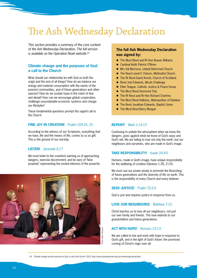## The Ash Wednesday Declaration

*This section provides a summary of the core content of the Ash Wednesday Declaration. The full version is available on the Operation Noah website.62*

### **Climate change and the purposes of God: a call to the Church**

What should our relationship be with God as both the origin and the end of all things? How do we balance our energy and material consumption with the needs of the poorest communities, and of future generations and other species? How do we sustain hope in the midst of fear and denial? How can we encourage global cooperation, challenge unsustainable economic systems and change our lifestyles?

These fundamental questions prompt this urgent call to the Church.

### **FIND JOY IN CREATION!** Psalm 104:24, 31

According to the witness of our Scriptures, everything that we have, life and the means of life, comes to us as gift. This is the ground of our worship.

#### **LISTEN!** Jeremiah 6:17

We must listen to the scientists warning us of approaching dangers, exercise discernment, and be wary of 'false prophets' representing the vested interests of the powerful.



### **The full Ash Wednesday Declaration was signed by:**

- The Most Revd and Rt Hon Rowan Williams
- **Cardinal Keith Patrick O'Brien**
- **.** Mrs Val Morrison, United Reformed Church
- **•** The Revd Lionel E Osborn, Methodist Church
- The Rt Revd David Arnott, Church of Scotland
- Revd Joel Edwards, Micah Challenge
- **Ellen Teague, Catholic Justice & Peace Group**
- The Most Revd Desmond Tutu
- The Rt Revd and Rt Hon Richard Chartres
- The Most Revd Kallistos, Metropolitan of Diokleia
- The Revd Jonathan Edwards, Baptist Union
- The Most Revd Barry Morgan

### **REPENT!** Mark 1:14-15

Continuing to pollute the atmosphere when we know the dangers, goes against what we know of God's ways and God's will. We are failing to love not only the earth, but our neighbours and ourselves, who are made in God's image.

### **TAKE RESPONSIBILITY!** Isaiah 24:4-5

Humans, made in God's image, have unique responsibility for the wellbeing of creation (Genesis 1:26, 2:15).

We must use our power wisely to promote the flourishing of future generations and the diversity of life on earth. This is the responsibility of every Church and every believer.

### **SEEK JUSTICE!** Psalm 72:2-4

God is just and requires justice in response from us.

### **LOVE OUR NEIGHBOURS!** Matthew 7:12

Christ teaches us to love all our neighbours, not just our own family and friends. This love extends to our grandchildren and future generations.

### **ACT WITH HOPE!** Romans 15:13

We are called to live and work with hope in response to God's gift, and in the light of God's future: the promised coming of Christ's reign over all.

62 'Climate change and the purposes of God: a call to the Church', 2012, http://www.operationnoah.org/ash-wednesday-declaration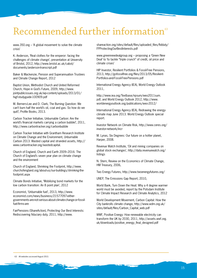### Recommended further information<sup>63</sup>

www.350.org – 'A global movement to solve the climate crisis'

K. Anderson, 'Real clothes for the emperor: facing the challenges of climate change', presentation at University of Bristol, 2012, http://www.bristol.ac.uk/cabot/ documents/anderson-transcript.pdf

Baker & Mackenzie, [Pension and Superannuation Trustees](http://www.bakermckenzie.com/files/Uploads/Documents/Superannuation%20Trustees%20and%20Climate%20Change%20Report%20-%20reduced%20file%20size.pdf)  [and Climate Change Report](http://www.bakermckenzie.com/files/Uploads/Documents/Superannuation%20Trustees%20and%20Climate%20Change%20Report%20-%20reduced%20file%20size.pdf), 2012

Baptist Union, Methodist Church and United Reformed Church, Hope in God's Future, 2009, http://www. jointpublicissues.org.uk/wp-content/uploads/2013/01/ higf-studyguide-100909.pdf

M. Berners-Lee and D. Clark, The Burning Question: We can't burn half the world's oil, coal and gas. So how do we quit?, Profile Books, 2013.

Carbon Tracker Initiative, Unburnable Carbon: Are the world's financial markets carrying a carbon bubble?, 2011, http://www.carbontracker.org/carbonbubble

Carbon Tracker Initiative with Grantham Research Institute on Climate Change and the Environment, Unburnable Carbon 2013: Wasted capital and stranded assets, http:// www.carbontracker.org/wastedcapital.

Church of England, [Church and Earth 2009–2016: The](http://www.arcworld.org/downloads/christian-CofE-7YP.pdf)  [Church of England's seven year plan on climate change](http://www.arcworld.org/downloads/christian-CofE-7YP.pdf)  [and the environment](http://www.arcworld.org/downloads/christian-CofE-7YP.pdf)

Church of England, Shrinking the Footprint, http://www. churchofengland.org/about-us/our-buildings/shrinking-thefootprint.aspx

Climate Bonds Initiative, ['Mobilizing bond markets for the](http://climatebonds.net/wp-content/uploads/2013/02/ClimateBonds_Davos_25Jan12.pdf)  [low carbon transition: An 8 point plan',](http://climatebonds.net/wp-content/uploads/2013/02/ClimateBonds_Davos_25Jan12.pdf) 2012

Economist, 'Unburnable fuel', 2013, http://www. economist.com/news/business/21577097-eithergovernments-are-not-serious-about-climate-change-or-fossilfuel-firms-are

FairPensions (ShareAction), Protecting Our Best Interests: Rediscovering fiduciary duty, 2011, http://www.

shareaction.org/sites/default/files/uploaded\_files/fidduty/ FPProtectingOurBestInterests.pdf

www.greennewdealgroup.org – proposing a 'Green New Deal' to 'to tackle "triple crunch" of credit, oil price and climate crises'

HIP Investor, Resilient Portfolios & Fossil-Free Pensions, 2013, http://gofossilfree.org/files/2013/05/Resilient-Portfolios-and-Fossil-Free-Pensions.pdf

International Energy Agency (IEA), World Energy Outlook 2011,

http://www.iea.org/Textbase/npsum/weo2011sum. pdf, and World Energy Outlook 2012, http://www. worldenergyoutlook.org/publications/weo-2012/

International Energy Agency (IEA), Redrawing the energyclimate map June 2013. World Energy Outlook special report.

Investor Network on Climate Risk, http://www.ceres.org/ investor-network/incr

M. Lynas, Six Degrees: Our future on a hotter planet, Harper, 2008.

Revenue Watch Institute, 'Oil and mining companies on global stock exchanges', http://data.revenuewatch.org/ listings

N. Stern, [Review on the Economics of Climate Change,](http://webarchive.nationalarchives.gov.uk/20130129110402/http://www.hm-treasury.gov.uk/stern_review_report.htm)  [HM Treasury](http://webarchive.nationalarchives.gov.uk/20130129110402/http://www.hm-treasury.gov.uk/stern_review_report.htm), 2006,

Two Energy Futures, http://www.twoenergyfutures.org/

UNEP, [The Emissions Gap Report](http://www.unep.org/publications/ebooks/emissionsgapreport/chapter2.asp?c=2.4), 2010,

World Bank, [Turn Down the Heat: Why a 4 degree warmer](http://climatechange.worldbank.org/sites/default/files/Turn_Down_the_heat_Why_a_4_degree_centrigrade_warmer_world_must_be_avoided.pdf)  [world must be avoided, report by the Potsdam Institute](http://climatechange.worldbank.org/sites/default/files/Turn_Down_the_heat_Why_a_4_degree_centrigrade_warmer_world_must_be_avoided.pdf)  [for Climate Impact Research and Climate Analytics,](http://climatechange.worldbank.org/sites/default/files/Turn_Down_the_heat_Why_a_4_degree_centrigrade_warmer_world_must_be_avoided.pdf) 2012

World Development Movement, Carbon Capital: How the City bankrolls climate change, http://www.wdm.org.uk/ sites/default/files/Carbon\_Capital\_web.pdf

WWF, Positive Energy: How renewable electricity can transform the UK by 2030, 2011, http://assets.wwf.org. uk/downloads/positive\_energy\_final\_designed.pdf